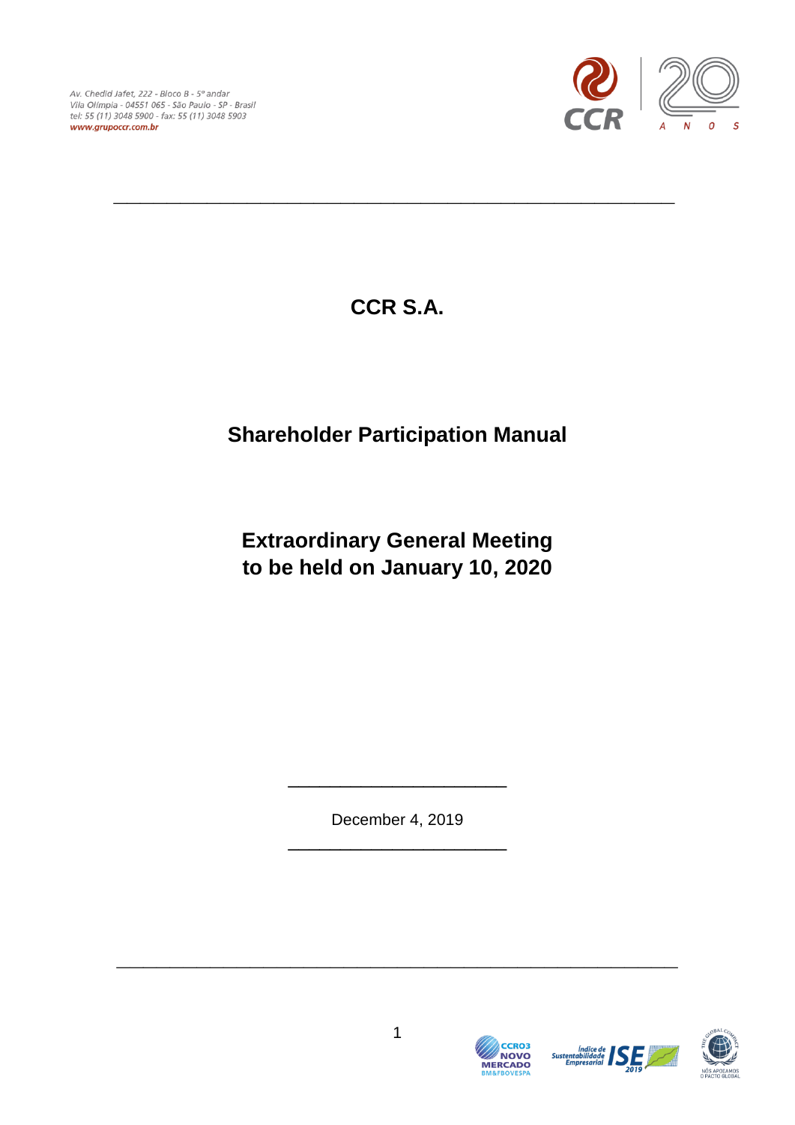Av. Chedid Jafet, 222 - Bloco B - 5° andar Vila Olímpia - 04551 065 - São Paulo - SP - Brasil tel: 55 (11) 3048 5900 - fax: 55 (11) 3048 5903 www.grupoccr.com.br



**CCR S.A.**

**\_\_\_\_\_\_\_\_\_\_\_\_\_\_\_\_\_\_\_\_\_\_\_\_\_\_\_\_\_\_\_\_\_\_\_\_\_\_\_\_\_\_**

# **Shareholder Participation Manual**

# **Extraordinary General Meeting to be held on January 10, 2020**

December 4, 2019 \_\_\_\_\_\_\_\_\_\_\_\_\_\_\_\_\_\_\_\_\_

\_\_\_\_\_\_\_\_\_\_\_\_\_\_\_\_\_\_\_\_\_



**CCRO3** 

NOVO

Índice de<br>Sustentabilidade<br>Empresarial

**\_\_\_\_\_\_\_\_\_\_\_\_\_\_\_\_\_\_\_\_\_\_\_\_\_\_\_\_\_\_\_\_\_\_\_\_\_\_\_\_\_\_**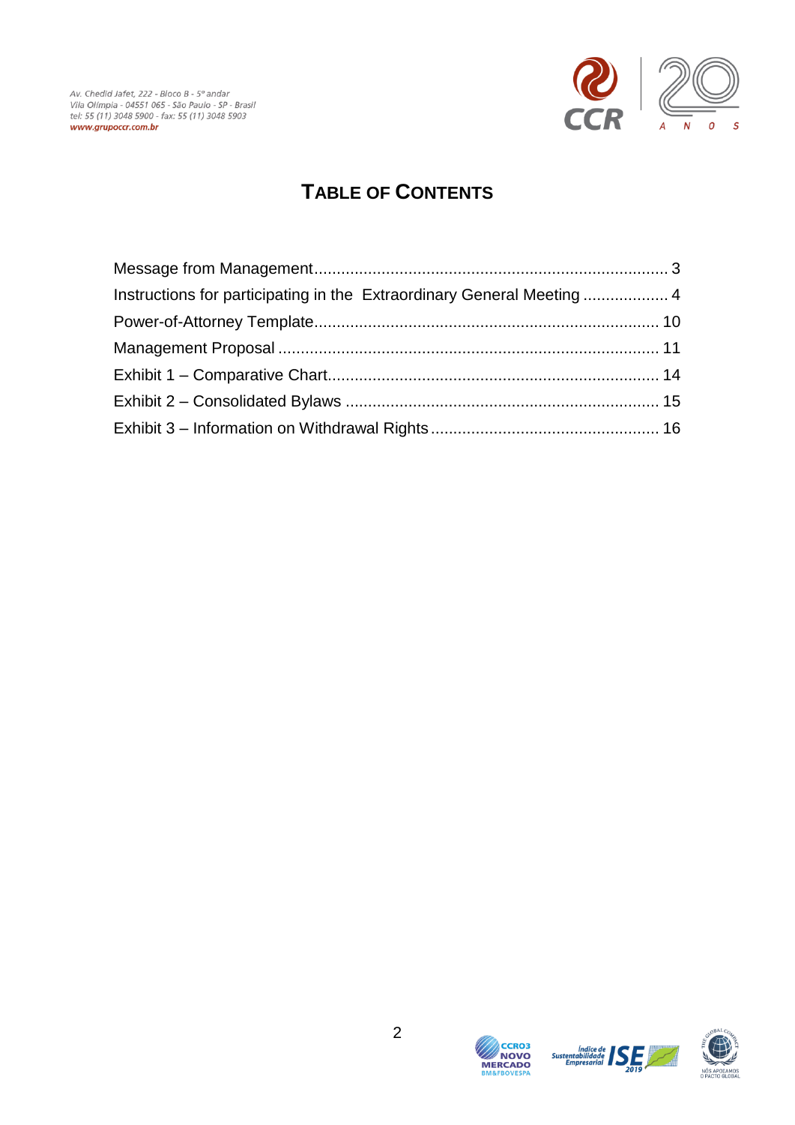

## **TABLE OF CONTENTS**

| Instructions for participating in the Extraordinary General Meeting  4 |  |
|------------------------------------------------------------------------|--|
|                                                                        |  |
|                                                                        |  |
|                                                                        |  |
|                                                                        |  |
|                                                                        |  |





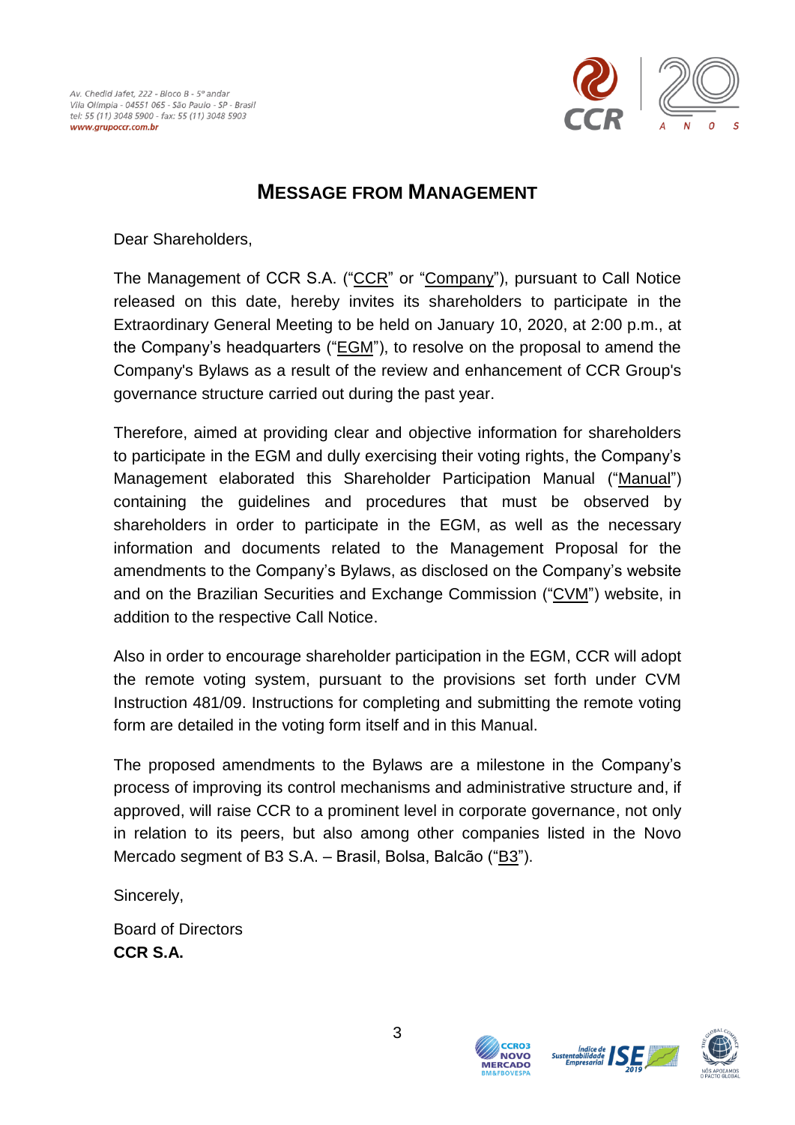

### **MESSAGE FROM MANAGEMENT**

<span id="page-2-0"></span>Dear Shareholders,

The Management of CCR S.A. ("CCR" or "Company"), pursuant to Call Notice released on this date, hereby invites its shareholders to participate in the Extraordinary General Meeting to be held on January 10, 2020, at 2:00 p.m., at the Company's headquarters ("EGM"), to resolve on the proposal to amend the Company's Bylaws as a result of the review and enhancement of CCR Group's governance structure carried out during the past year.

Therefore, aimed at providing clear and objective information for shareholders to participate in the EGM and dully exercising their voting rights, the Company's Management elaborated this Shareholder Participation Manual ("Manual") containing the guidelines and procedures that must be observed by shareholders in order to participate in the EGM, as well as the necessary information and documents related to the Management Proposal for the amendments to the Company's Bylaws, as disclosed on the Company's website and on the Brazilian Securities and Exchange Commission ("CVM") website, in addition to the respective Call Notice.

Also in order to encourage shareholder participation in the EGM, CCR will adopt the remote voting system, pursuant to the provisions set forth under CVM Instruction 481/09. Instructions for completing and submitting the remote voting form are detailed in the voting form itself and in this Manual.

The proposed amendments to the Bylaws are a milestone in the Company's process of improving its control mechanisms and administrative structure and, if approved, will raise CCR to a prominent level in corporate governance, not only in relation to its peers, but also among other companies listed in the Novo Mercado segment of B3 S.A. – Brasil, Bolsa, Balcão ("B3").

Sincerely,

Board of Directors **CCR S.A.**





**CCRO3 NOVO** 

**MERCADO** 

**Sustenta**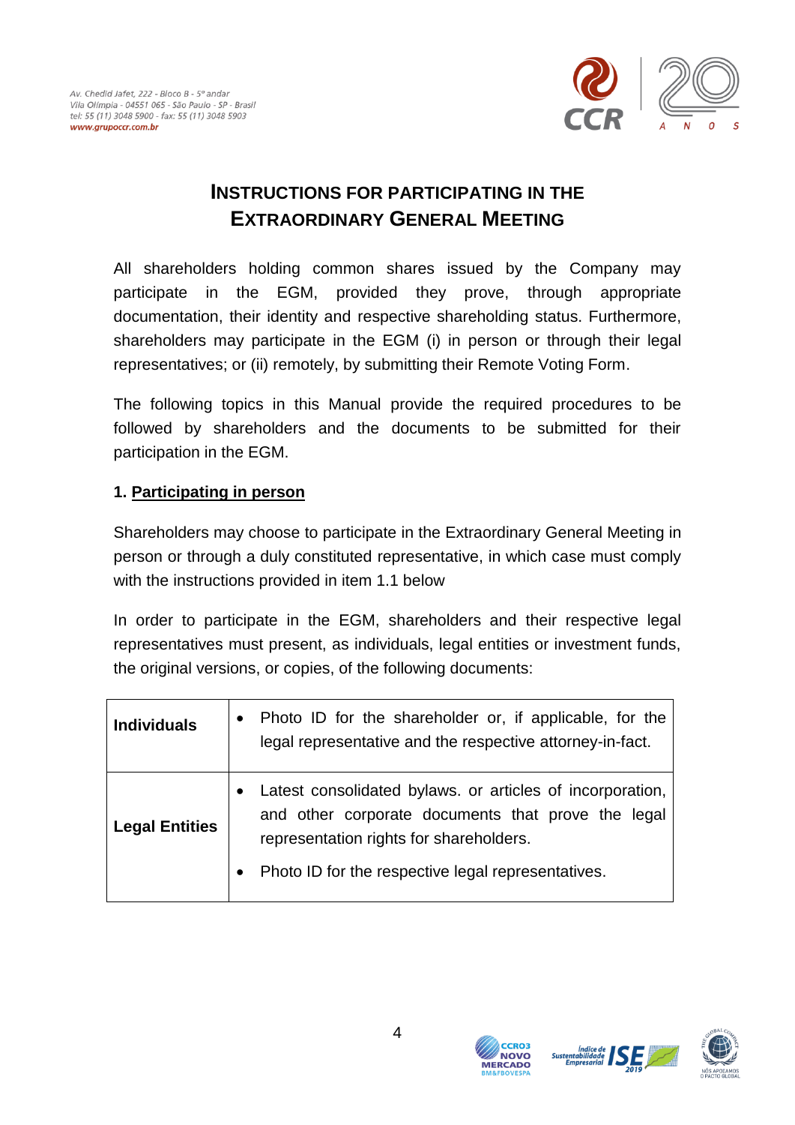

### **INSTRUCTIONS FOR PARTICIPATING IN THE EXTRAORDINARY GENERAL MEETING**

<span id="page-3-0"></span>All shareholders holding common shares issued by the Company may participate in the EGM, provided they prove, through appropriate documentation, their identity and respective shareholding status. Furthermore, shareholders may participate in the EGM (i) in person or through their legal representatives; or (ii) remotely, by submitting their Remote Voting Form.

The following topics in this Manual provide the required procedures to be followed by shareholders and the documents to be submitted for their participation in the EGM.

### **1. Participating in person**

Shareholders may choose to participate in the Extraordinary General Meeting in person or through a duly constituted representative, in which case must comply with the instructions provided in item 1.1 below

In order to participate in the EGM, shareholders and their respective legal representatives must present, as individuals, legal entities or investment funds, the original versions, or copies, of the following documents:

| <b>Individuals</b>    | Photo ID for the shareholder or, if applicable, for the<br>$\bullet$<br>legal representative and the respective attorney-in-fact.                                                                                                          |
|-----------------------|--------------------------------------------------------------------------------------------------------------------------------------------------------------------------------------------------------------------------------------------|
| <b>Legal Entities</b> | Latest consolidated bylaws. or articles of incorporation,<br>$\bullet$<br>and other corporate documents that prove the legal<br>representation rights for shareholders.<br>Photo ID for the respective legal representatives.<br>$\bullet$ |





**Sustenta**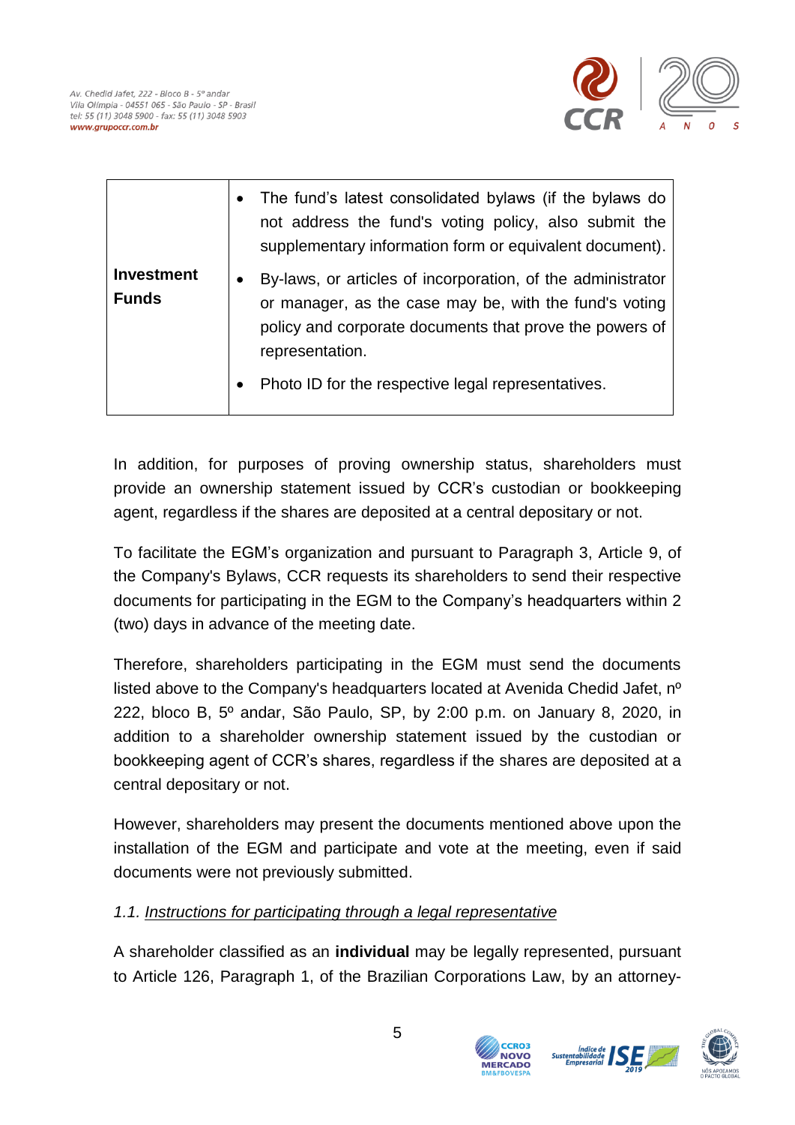

|                                   | The fund's latest consolidated bylaws (if the bylaws do<br>$\bullet$<br>not address the fund's voting policy, also submit the<br>supplementary information form or equivalent document).                                                                                            |
|-----------------------------------|-------------------------------------------------------------------------------------------------------------------------------------------------------------------------------------------------------------------------------------------------------------------------------------|
| <b>Investment</b><br><b>Funds</b> | By-laws, or articles of incorporation, of the administrator<br>$\bullet$<br>or manager, as the case may be, with the fund's voting<br>policy and corporate documents that prove the powers of<br>representation.<br>Photo ID for the respective legal representatives.<br>$\bullet$ |

In addition, for purposes of proving ownership status, shareholders must provide an ownership statement issued by CCR's custodian or bookkeeping agent, regardless if the shares are deposited at a central depositary or not.

To facilitate the EGM's organization and pursuant to Paragraph 3, Article 9, of the Company's Bylaws, CCR requests its shareholders to send their respective documents for participating in the EGM to the Company's headquarters within 2 (two) days in advance of the meeting date.

Therefore, shareholders participating in the EGM must send the documents listed above to the Company's headquarters located at Avenida Chedid Jafet, nº 222, bloco B, 5º andar, São Paulo, SP, by 2:00 p.m. on January 8, 2020, in addition to a shareholder ownership statement issued by the custodian or bookkeeping agent of CCR's shares, regardless if the shares are deposited at a central depositary or not.

However, shareholders may present the documents mentioned above upon the installation of the EGM and participate and vote at the meeting, even if said documents were not previously submitted.

### *1.1. Instructions for participating through a legal representative*

A shareholder classified as an **individual** may be legally represented, pursuant to Article 126, Paragraph 1, of the Brazilian Corporations Law, by an attorney-



**NOVO**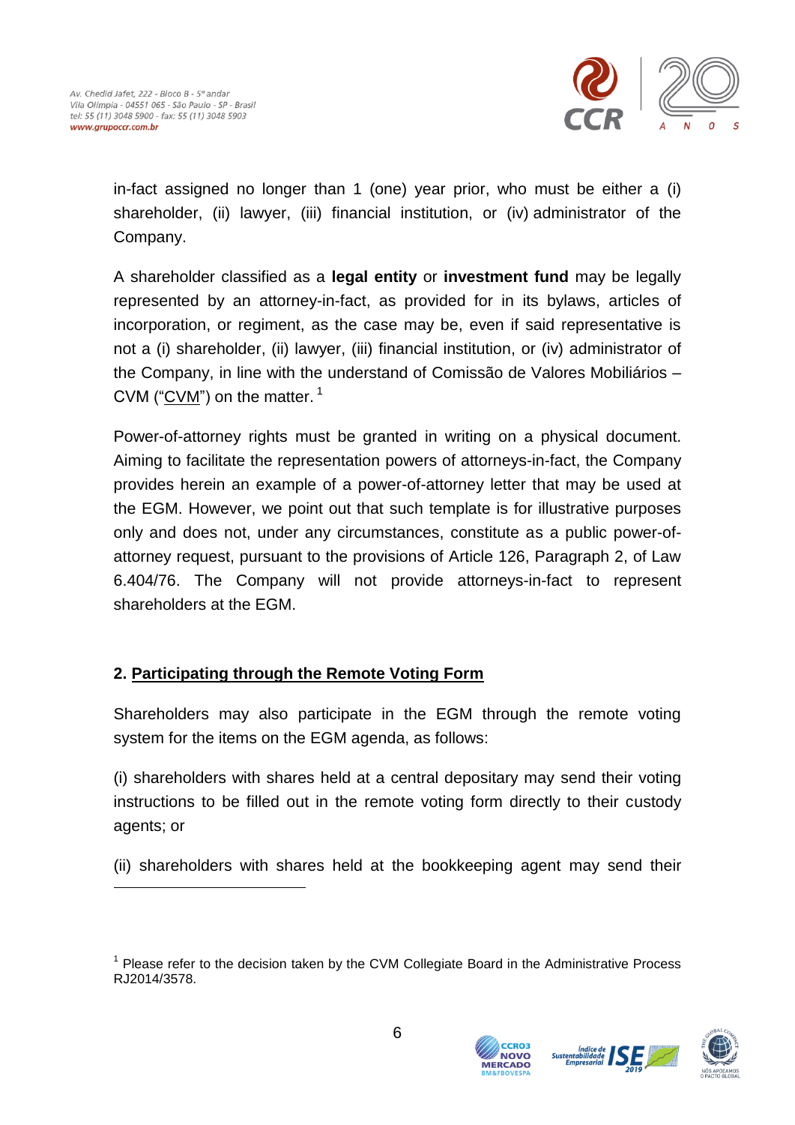1



in-fact assigned no longer than 1 (one) year prior, who must be either a (i) shareholder, (ii) lawyer, (iii) financial institution, or (iv) administrator of the Company.

A shareholder classified as a **legal entity** or **investment fund** may be legally represented by an attorney-in-fact, as provided for in its bylaws, articles of incorporation, or regiment, as the case may be, even if said representative is not a (i) shareholder, (ii) lawyer, (iii) financial institution, or (iv) administrator of the Company, in line with the understand of Comissão de Valores Mobiliários – CVM (" $CVM$ ") on the matter.<sup>1</sup>

Power-of-attorney rights must be granted in writing on a physical document. Aiming to facilitate the representation powers of attorneys-in-fact, the Company provides herein an example of a power-of-attorney letter that may be used at the EGM. However, we point out that such template is for illustrative purposes only and does not, under any circumstances, constitute as a public power-ofattorney request, pursuant to the provisions of Article 126, Paragraph 2, of Law 6.404/76. The Company will not provide attorneys-in-fact to represent shareholders at the EGM.

### **2. Participating through the Remote Voting Form**

Shareholders may also participate in the EGM through the remote voting system for the items on the EGM agenda, as follows:

(i) shareholders with shares held at a central depositary may send their voting instructions to be filled out in the remote voting form directly to their custody agents; or

(ii) shareholders with shares held at the bookkeeping agent may send their

<sup>&</sup>lt;sup>1</sup> Please refer to the decision taken by the CVM Collegiate Board in the Administrative Process RJ2014/3578.



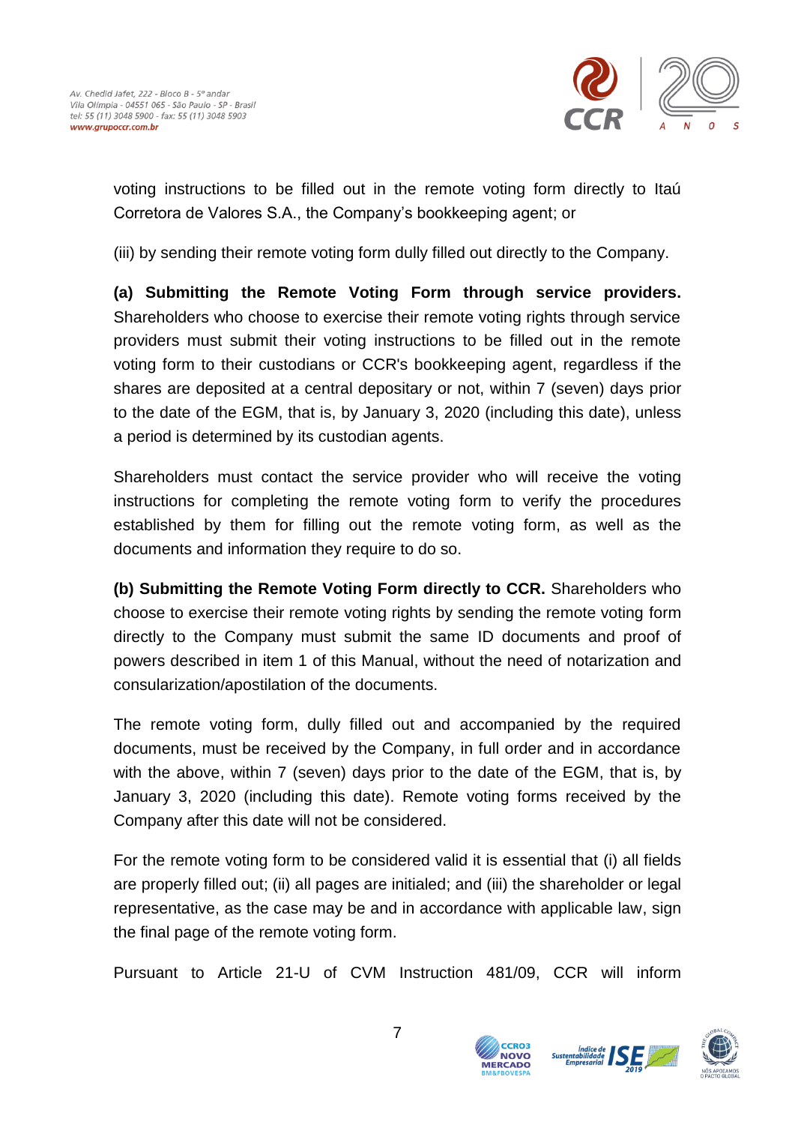

voting instructions to be filled out in the remote voting form directly to Itaú Corretora de Valores S.A., the Company's bookkeeping agent; or

(iii) by sending their remote voting form dully filled out directly to the Company.

**(a) Submitting the Remote Voting Form through service providers.** Shareholders who choose to exercise their remote voting rights through service providers must submit their voting instructions to be filled out in the remote voting form to their custodians or CCR's bookkeeping agent, regardless if the shares are deposited at a central depositary or not, within 7 (seven) days prior to the date of the EGM, that is, by January 3, 2020 (including this date), unless a period is determined by its custodian agents.

Shareholders must contact the service provider who will receive the voting instructions for completing the remote voting form to verify the procedures established by them for filling out the remote voting form, as well as the documents and information they require to do so.

**(b) Submitting the Remote Voting Form directly to CCR.** Shareholders who choose to exercise their remote voting rights by sending the remote voting form directly to the Company must submit the same ID documents and proof of powers described in item 1 of this Manual, without the need of notarization and consularization/apostilation of the documents.

The remote voting form, dully filled out and accompanied by the required documents, must be received by the Company, in full order and in accordance with the above, within 7 (seven) days prior to the date of the EGM, that is, by January 3, 2020 (including this date). Remote voting forms received by the Company after this date will not be considered.

For the remote voting form to be considered valid it is essential that (i) all fields are properly filled out; (ii) all pages are initialed; and (iii) the shareholder or legal representative, as the case may be and in accordance with applicable law, sign the final page of the remote voting form.

Pursuant to Article 21-U of CVM Instruction 481/09, CCR will inform



**CCRO3 NOVO** 

Sustentabil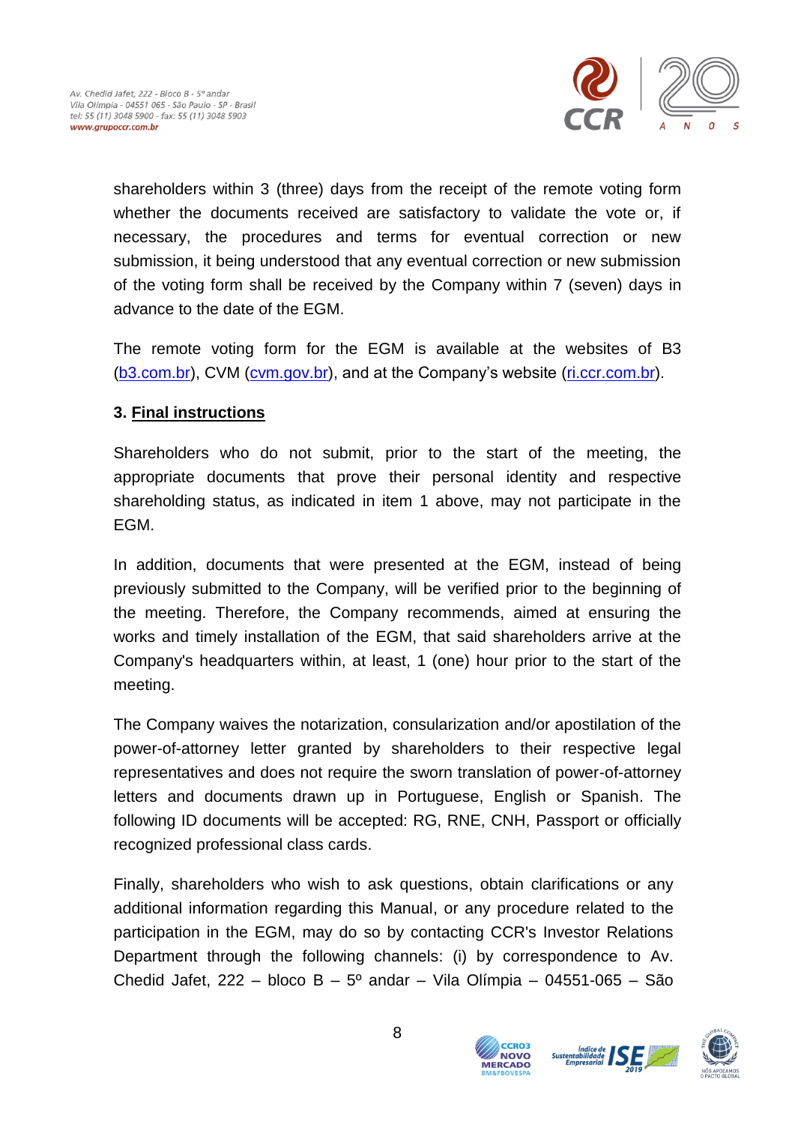

shareholders within 3 (three) days from the receipt of the remote voting form whether the documents received are satisfactory to validate the vote or, if necessary, the procedures and terms for eventual correction or new submission, it being understood that any eventual correction or new submission of the voting form shall be received by the Company within 7 (seven) days in advance to the date of the EGM.

The remote voting form for the EGM is available at the websites of B3 [\(b3.com.br\)](http://www.b3.com.br/), CVM [\(cvm.gov.br\)](http://www.cvm.gov.br/), and at the Company's website [\(ri.ccr.com.br\)](http://ri.ccr.com.br/).

### **3. Final instructions**

Shareholders who do not submit, prior to the start of the meeting, the appropriate documents that prove their personal identity and respective shareholding status, as indicated in item 1 above, may not participate in the EGM.

In addition, documents that were presented at the EGM, instead of being previously submitted to the Company, will be verified prior to the beginning of the meeting. Therefore, the Company recommends, aimed at ensuring the works and timely installation of the EGM, that said shareholders arrive at the Company's headquarters within, at least, 1 (one) hour prior to the start of the meeting.

The Company waives the notarization, consularization and/or apostilation of the power-of-attorney letter granted by shareholders to their respective legal representatives and does not require the sworn translation of power-of-attorney letters and documents drawn up in Portuguese, English or Spanish. The following ID documents will be accepted: RG, RNE, CNH, Passport or officially recognized professional class cards.

Finally, shareholders who wish to ask questions, obtain clarifications or any additional information regarding this Manual, or any procedure related to the participation in the EGM, may do so by contacting CCR's Investor Relations Department through the following channels: (i) by correspondence to Av. Chedid Jafet, 222 – bloco B –  $5^{\circ}$  andar – Vila Olímpia – 04551-065 – São



**CCRO3 NOVO** 

**MERCADO** 

Sustentabil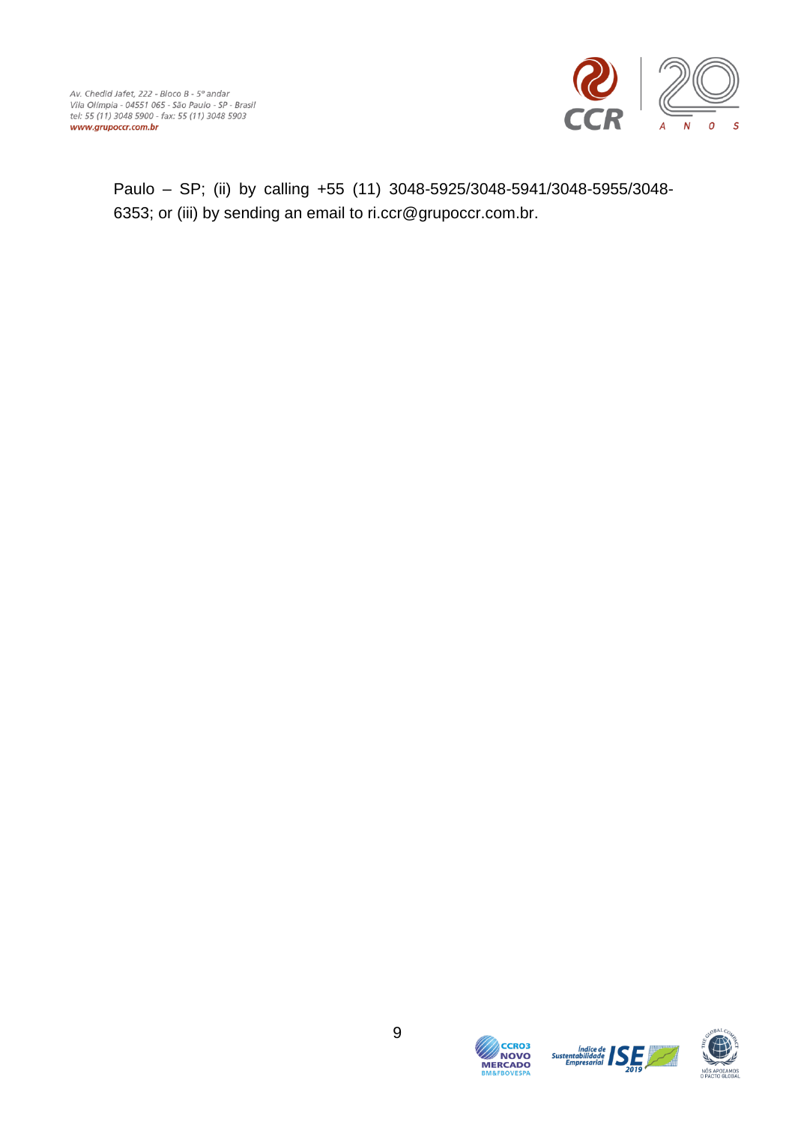

Paulo – SP; (ii) by calling +55 (11) 3048-5925/3048-5941/3048-5955/3048- 6353; or (iii) by sending an email to ri.ccr@grupoccr.com.br.





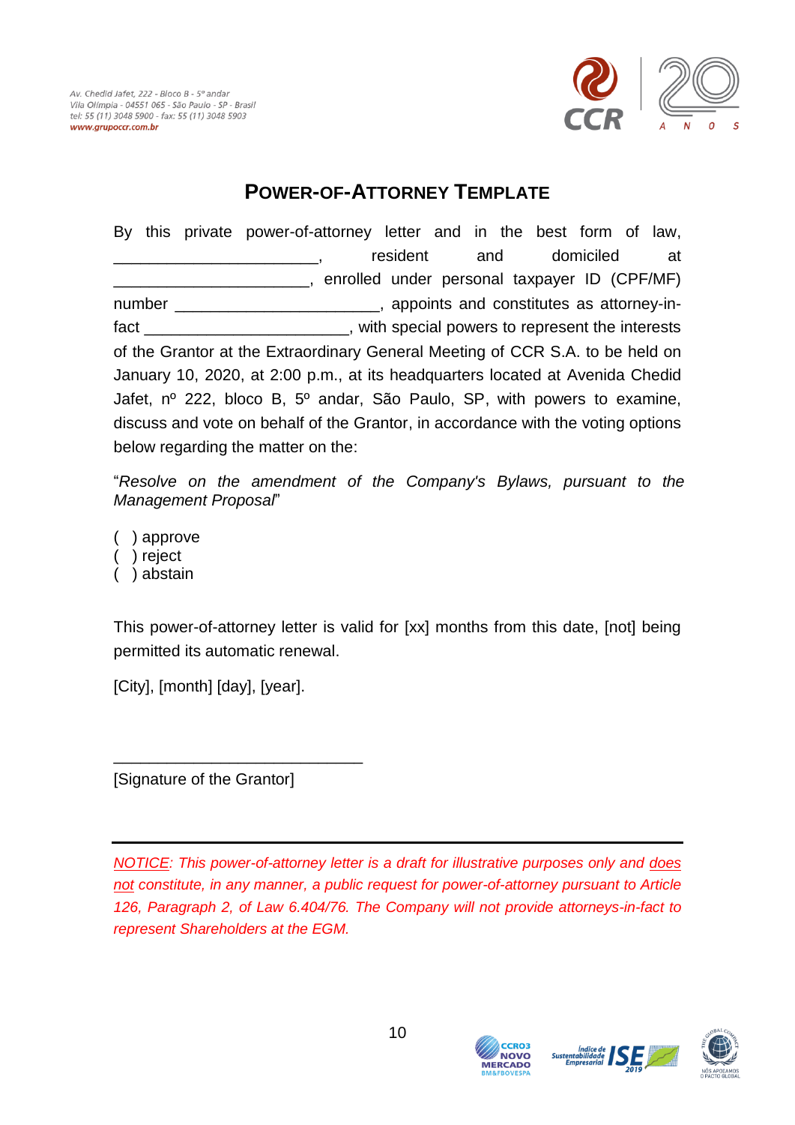

### **POWER-OF-ATTORNEY TEMPLATE**

<span id="page-9-0"></span>By this private power-of-attorney letter and in the best form of law, resident and domiciled at \_\_\_\_\_\_\_\_\_\_\_\_\_\_\_\_\_\_\_\_\_\_, enrolled under personal taxpayer ID (CPF/MF) number **number** and constitutes as attorney-infact **the contract term** is the special powers to represent the interests of the Grantor at the Extraordinary General Meeting of CCR S.A. to be held on January 10, 2020, at 2:00 p.m., at its headquarters located at Avenida Chedid Jafet, nº 222, bloco B, 5º andar, São Paulo, SP, with powers to examine, discuss and vote on behalf of the Grantor, in accordance with the voting options below regarding the matter on the:

"*Resolve on the amendment of the Company's Bylaws, pursuant to the Management Proposal*"

( ) approve

- ( ) reject
- ( ) abstain

This power-of-attorney letter is valid for [xx] months from this date, [not] being permitted its automatic renewal.

[City], [month] [day], [year].

[Signature of the Grantor]

\_\_\_\_\_\_\_\_\_\_\_\_\_\_\_\_\_\_\_\_\_\_\_\_\_\_\_\_

*NOTICE: This power-of-attorney letter is a draft for illustrative purposes only and does not constitute, in any manner, a public request for power-of-attorney pursuant to Article 126, Paragraph 2, of Law 6.404/76. The Company will not provide attorneys-in-fact to represent Shareholders at the EGM.*



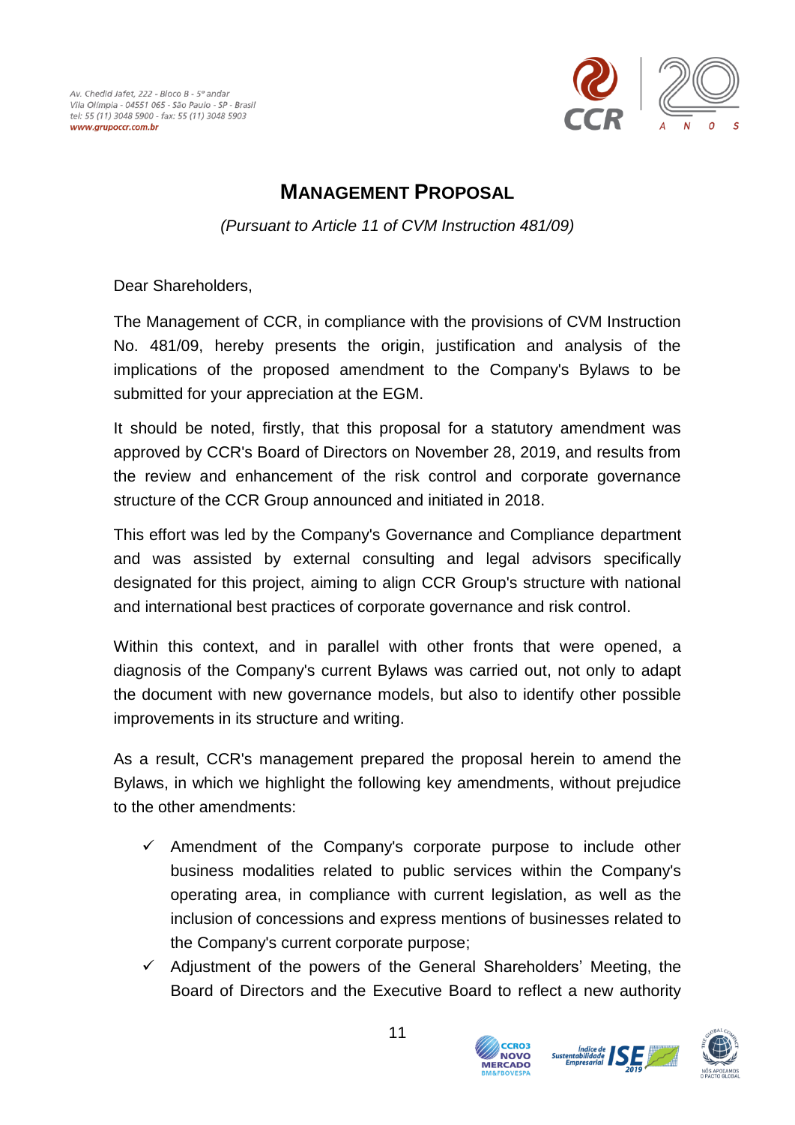

### **MANAGEMENT PROPOSAL**

*(Pursuant to Article 11 of CVM Instruction 481/09)*

<span id="page-10-0"></span>Dear Shareholders,

The Management of CCR, in compliance with the provisions of CVM Instruction No. 481/09, hereby presents the origin, justification and analysis of the implications of the proposed amendment to the Company's Bylaws to be submitted for your appreciation at the EGM.

It should be noted, firstly, that this proposal for a statutory amendment was approved by CCR's Board of Directors on November 28, 2019, and results from the review and enhancement of the risk control and corporate governance structure of the CCR Group announced and initiated in 2018.

This effort was led by the Company's Governance and Compliance department and was assisted by external consulting and legal advisors specifically designated for this project, aiming to align CCR Group's structure with national and international best practices of corporate governance and risk control.

Within this context, and in parallel with other fronts that were opened, a diagnosis of the Company's current Bylaws was carried out, not only to adapt the document with new governance models, but also to identify other possible improvements in its structure and writing.

As a result, CCR's management prepared the proposal herein to amend the Bylaws, in which we highlight the following key amendments, without prejudice to the other amendments:

- $\checkmark$  Amendment of the Company's corporate purpose to include other business modalities related to public services within the Company's operating area, in compliance with current legislation, as well as the inclusion of concessions and express mentions of businesses related to the Company's current corporate purpose;
- $\checkmark$  Adjustment of the powers of the General Shareholders' Meeting, the Board of Directors and the Executive Board to reflect a new authority

**CCRO3 NOVO** 

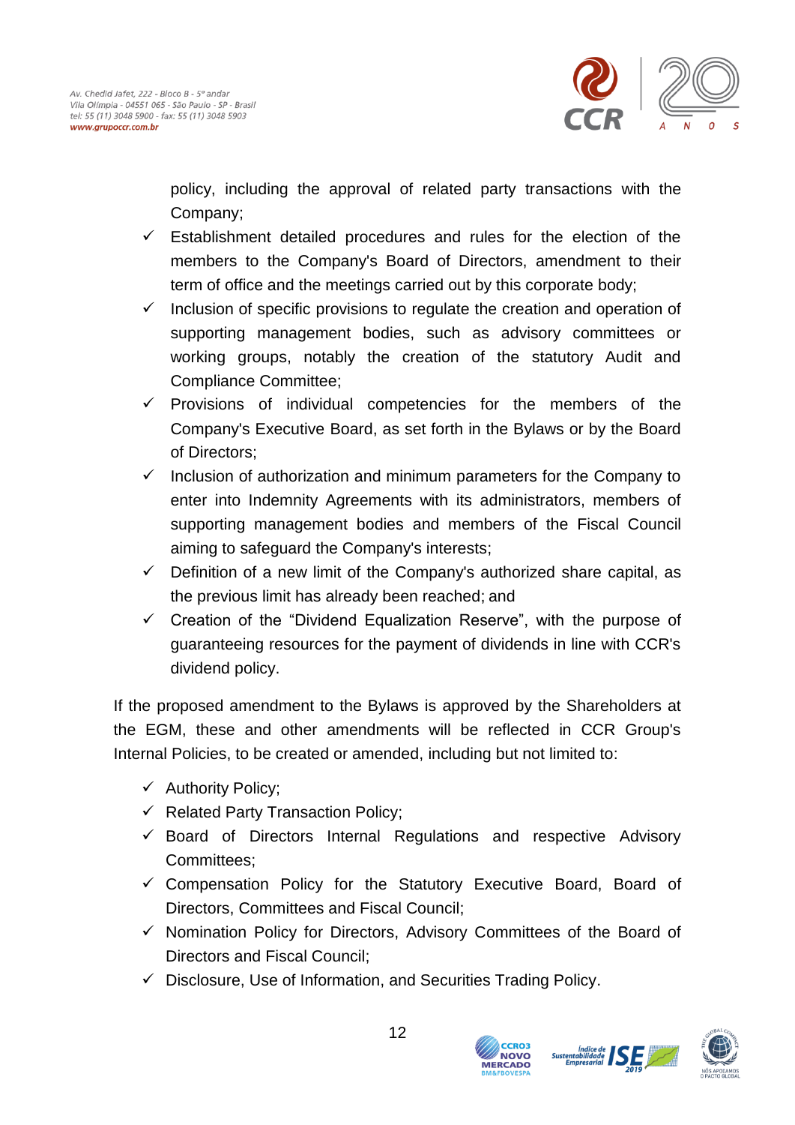

policy, including the approval of related party transactions with the Company;

- $\checkmark$  Establishment detailed procedures and rules for the election of the members to the Company's Board of Directors, amendment to their term of office and the meetings carried out by this corporate body;
- $\checkmark$  Inclusion of specific provisions to regulate the creation and operation of supporting management bodies, such as advisory committees or working groups, notably the creation of the statutory Audit and Compliance Committee;
- $\checkmark$  Provisions of individual competencies for the members of the Company's Executive Board, as set forth in the Bylaws or by the Board of Directors;
- $\checkmark$  Inclusion of authorization and minimum parameters for the Company to enter into Indemnity Agreements with its administrators, members of supporting management bodies and members of the Fiscal Council aiming to safeguard the Company's interests;
- $\checkmark$  Definition of a new limit of the Company's authorized share capital, as the previous limit has already been reached; and
- $\checkmark$  Creation of the "Dividend Equalization Reserve", with the purpose of guaranteeing resources for the payment of dividends in line with CCR's dividend policy.

If the proposed amendment to the Bylaws is approved by the Shareholders at the EGM, these and other amendments will be reflected in CCR Group's Internal Policies, to be created or amended, including but not limited to:

- $\checkmark$  Authority Policy;
- $\checkmark$  Related Party Transaction Policy:
- $\checkmark$  Board of Directors Internal Regulations and respective Advisory Committees;
- $\checkmark$  Compensation Policy for the Statutory Executive Board, Board of Directors, Committees and Fiscal Council;
- $\checkmark$  Nomination Policy for Directors, Advisory Committees of the Board of Directors and Fiscal Council;
- $\checkmark$  Disclosure, Use of Information, and Securities Trading Policy.



**Sustental** 

**NOVO**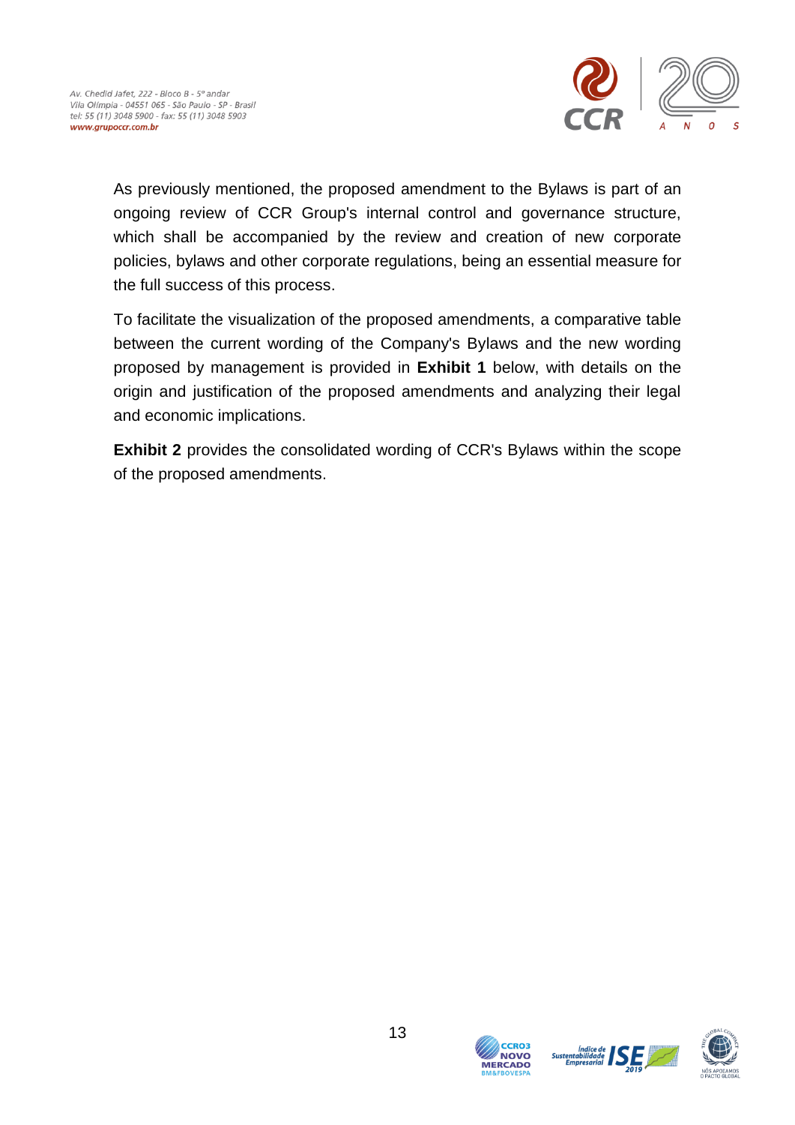

As previously mentioned, the proposed amendment to the Bylaws is part of an ongoing review of CCR Group's internal control and governance structure, which shall be accompanied by the review and creation of new corporate policies, bylaws and other corporate regulations, being an essential measure for the full success of this process.

To facilitate the visualization of the proposed amendments, a comparative table between the current wording of the Company's Bylaws and the new wording proposed by management is provided in **Exhibit 1** below, with details on the origin and justification of the proposed amendments and analyzing their legal and economic implications.

**Exhibit 2** provides the consolidated wording of CCR's Bylaws within the scope of the proposed amendments.





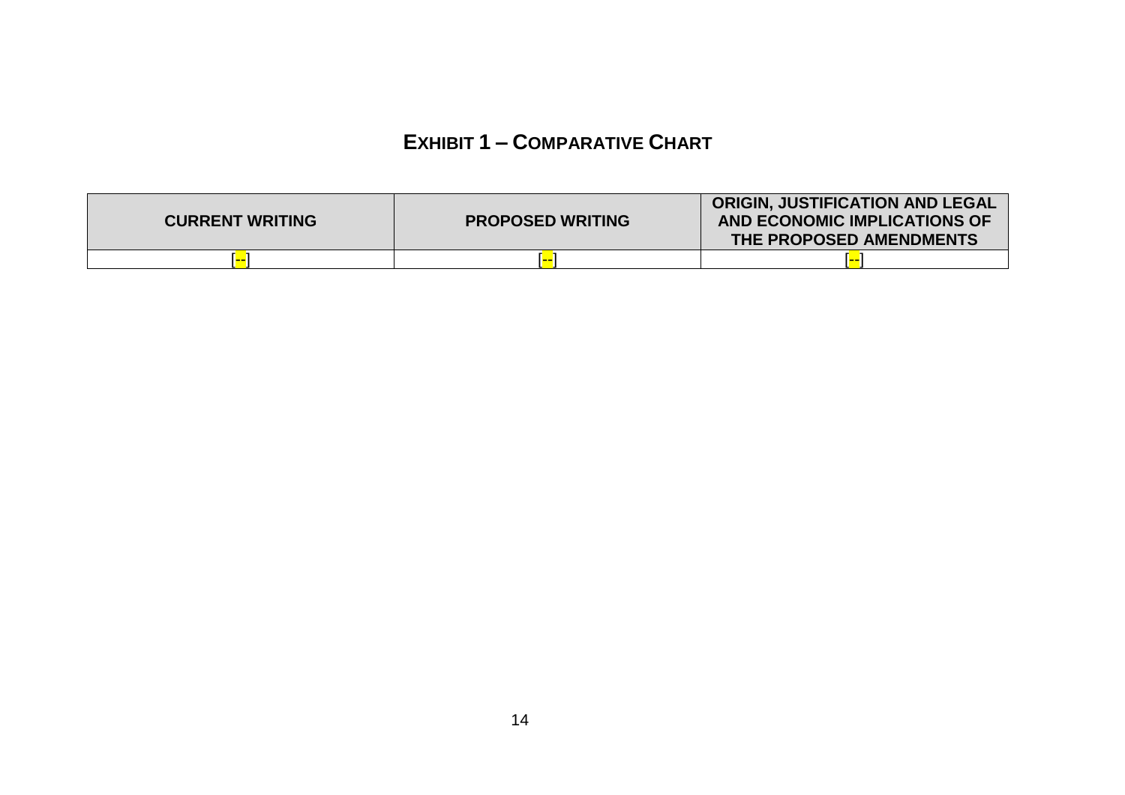## **EXHIBIT 1 – COMPARATIVE CHART**

<span id="page-13-0"></span>

| <b>CURRENT WRITING</b> | <b>PROPOSED WRITING</b> | <b>ORIGIN, JUSTIFICATION AND LEGAL</b><br>AND ECONOMIC IMPLICATIONS OF<br>THE PROPOSED AMENDMENTS |
|------------------------|-------------------------|---------------------------------------------------------------------------------------------------|
| .                      |                         |                                                                                                   |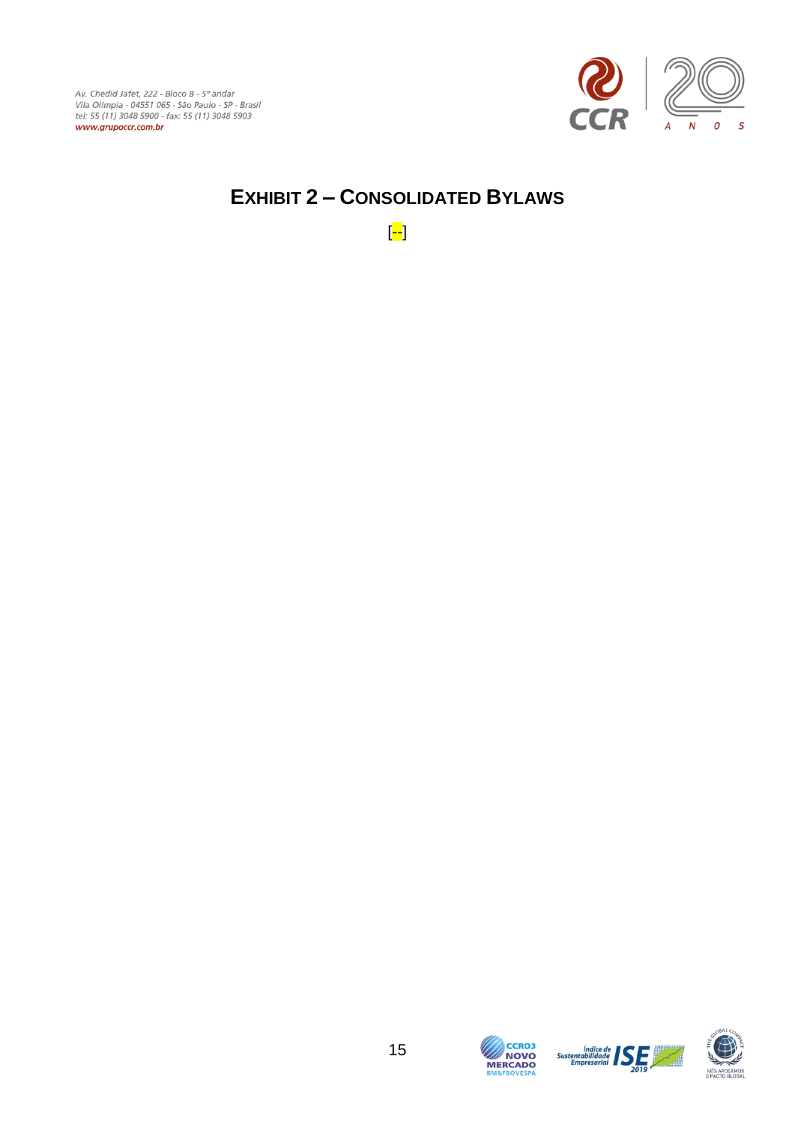

## <span id="page-14-0"></span>**EXHIBIT 2 – CONSOLIDATED BYLAWS**

[--]



 $\begin{tabular}{c|c} \multicolumn{1}{c}{\textbf{Indice de}} & \multicolumn{1}{c}{\textbf{S}} \\ \multicolumn{1}{c}{\textbf{S}} \\ \multicolumn{1}{c}{\textbf{S}} \\ \multicolumn{1}{c}{\textbf{E}} \\ \multicolumn{1}{c}{\textbf{E}} \\ \multicolumn{1}{c}{\textbf{E}} \\ \multicolumn{1}{c}{\textbf{E}} \\ \multicolumn{1}{c}{\textbf{E}} \\ \multicolumn{1}{c}{\textbf{E}} \\ \multicolumn{1}{c}{\textbf{E}} \\ \multicolumn{1}{c}{\textbf{E}} \\ \multicolumn{1}{c}{\textbf{E}} \\$ 

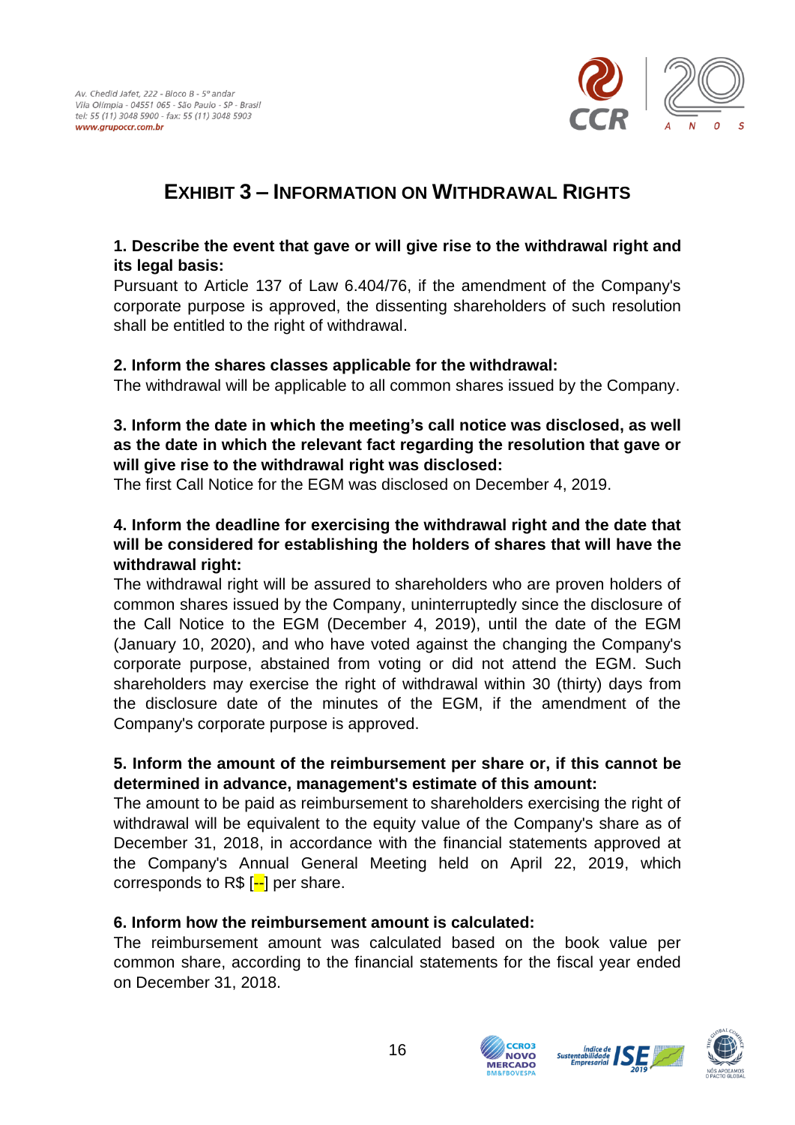

### <span id="page-15-0"></span>**EXHIBIT 3 – INFORMATION ON WITHDRAWAL RIGHTS**

### **1. Describe the event that gave or will give rise to the withdrawal right and its legal basis:**

Pursuant to Article 137 of Law 6.404/76, if the amendment of the Company's corporate purpose is approved, the dissenting shareholders of such resolution shall be entitled to the right of withdrawal.

#### **2. Inform the shares classes applicable for the withdrawal:**

The withdrawal will be applicable to all common shares issued by the Company.

#### **3. Inform the date in which the meeting's call notice was disclosed, as well as the date in which the relevant fact regarding the resolution that gave or will give rise to the withdrawal right was disclosed:**

The first Call Notice for the EGM was disclosed on December 4, 2019.

### **4. Inform the deadline for exercising the withdrawal right and the date that will be considered for establishing the holders of shares that will have the withdrawal right:**

The withdrawal right will be assured to shareholders who are proven holders of common shares issued by the Company, uninterruptedly since the disclosure of the Call Notice to the EGM (December 4, 2019), until the date of the EGM (January 10, 2020), and who have voted against the changing the Company's corporate purpose, abstained from voting or did not attend the EGM. Such shareholders may exercise the right of withdrawal within 30 (thirty) days from the disclosure date of the minutes of the EGM, if the amendment of the Company's corporate purpose is approved.

### **5. Inform the amount of the reimbursement per share or, if this cannot be determined in advance, management's estimate of this amount:**

The amount to be paid as reimbursement to shareholders exercising the right of withdrawal will be equivalent to the equity value of the Company's share as of December 31, 2018, in accordance with the financial statements approved at the Company's Annual General Meeting held on April 22, 2019, which corresponds to  $R\$  [--] per share.

### **6. Inform how the reimbursement amount is calculated:**

The reimbursement amount was calculated based on the book value per common share, according to the financial statements for the fiscal year ended on December 31, 2018.



**COO3 NOVO VIERCADO**